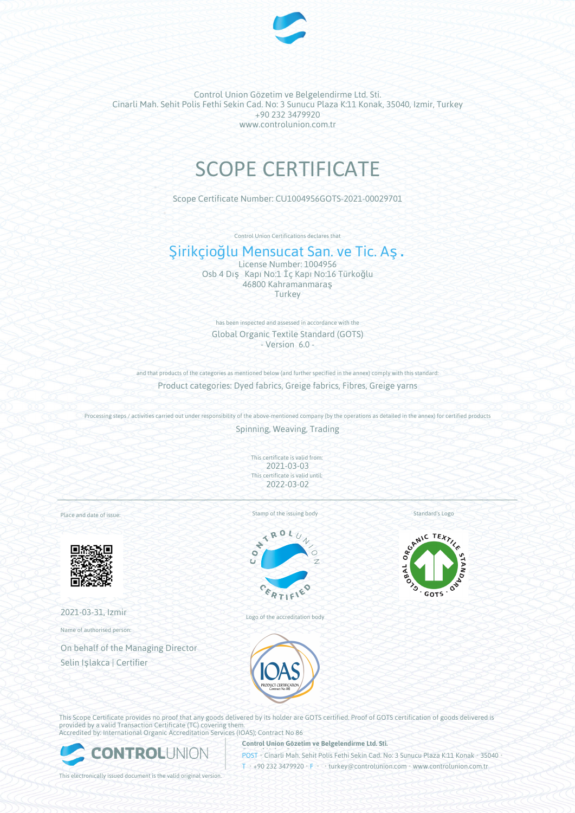

Control Union Gözetim ve Belgelendirme Ltd. Sti. Cinarli Mah. Sehit Polis Fethi Sekin Cad. No: 3 Sunucu Plaza K:11 Konak, 35040, Izmir, Turkey +90 232 3479920 www.controlunion.com.tr

# SCOPE CERTIFICATE

Scope Certificate Number: CU1004956GOTS-2021-00029701

Control Union Certifications declares that

# Şirikçioğlu Mensucat San. ve Tic. Aş.

License Number: 1004956 Osb 4 Dış Kapı No:1 İç Kapı No:16 Türkoğlu 46800 Kahramanmaraş **Turkey** 

has been inspected and assessed in accordance with the Global Organic Textile Standard (GOTS) - Version 6.0 -

and that products of the categories as mentioned below (and further specified in the annex) comply with this standard: Product categories: Dyed fabrics, Greige fabrics, Fibres, Greige yarns

Processing steps / activities carried out under responsibility of the above-mentioned company (by the operations as detailed in the annex) for certified products

Spinning, Weaving, Trading

This certificate is valid from: 2021-03-03 This certificate is valid until: 2022-03-02

Place and date of issue:



2021-03-31, Izmir

Name of authorised person:

On behalf of the Managing Director Selin Işlakca | Certifier

Stamp of the issuing body



Logo of the accreditation body

Standard's Logo



This Scope Certificate provides no proof that any goods delivered by its holder are GOTS certified. Proof of GOTS certification of goods delivered is provided by a valid Transaction Certificate (TC) covering them. Accredited by: International Organic Accreditation Services (IOAS); Contract No 86



**Control Union Gözetim ve Belgelendirme Ltd. Sti.**

POST • Cinarli Mah. Sehit Polis Fethi Sekin Cad. No: 3 Sunucu Plaza K:11 Konak • 35040

This electronically issued document is the valid original version.

T • +90 232 3479920 • F • • turkey@controlunion.com • www.controlunion.com.tr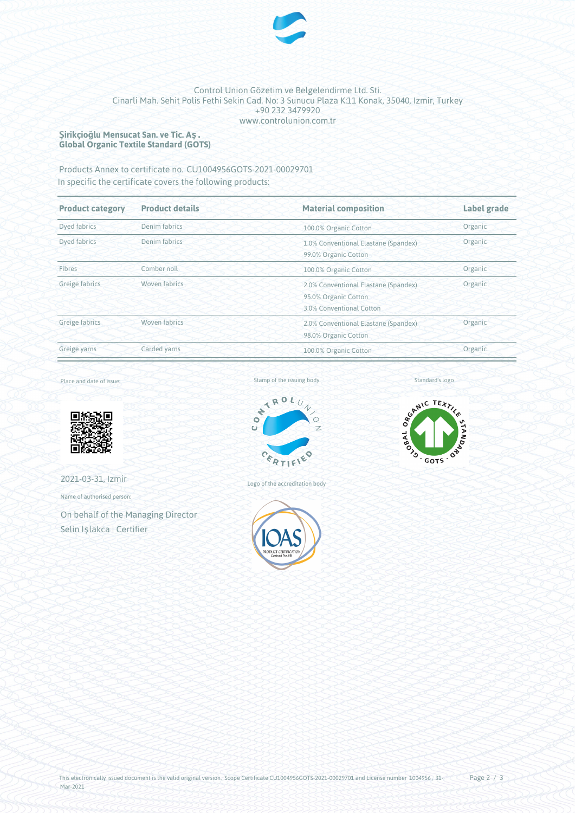

## Control Union Gözetim ve Belgelendirme Ltd. Sti. Cinarli Mah. Sehit Polis Fethi Sekin Cad. No: 3 Sunucu Plaza K:11 Konak, 35040, Izmir, Turkey +90 232 3479920 www.controlunion.com.tr

#### **Şirikçioğlu Mensucat San. ve Tic. Aş. Global Organic Textile Standard (GOTS)**

Products Annex to certificate no. CU1004956GOTS-2021-00029701 In specific the certificate covers the following products:

| <b>Product details</b><br><b>Product category</b> |               | <b>Material composition</b>                                                                         | Label grade |  |
|---------------------------------------------------|---------------|-----------------------------------------------------------------------------------------------------|-------------|--|
| Dyed fabrics                                      | Denim fabrics | 100.0% Organic Cotton                                                                               | Organic     |  |
| Dyed fabrics                                      | Denim fabrics | Organic<br>1.0% Conventional Elastane (Spandex)<br>99.0% Organic Cotton                             |             |  |
| Fibres                                            | Comber noil   | 100.0% Organic Cotton                                                                               | Organic     |  |
| Greige fabrics                                    | Woven fabrics | Organic<br>2.0% Conventional Elastane (Spandex)<br>95.0% Organic Cotton<br>3.0% Conventional Cotton |             |  |
| Greige fabrics                                    | Woven fabrics | Organic<br>2.0% Conventional Elastane (Spandex)<br>98.0% Organic Cotton                             |             |  |
| Greige yarns                                      | Carded yarns  | 100.0% Organic Cotton                                                                               | Organic     |  |

#### Place and date of issue:



2021-03-31, Izmir

Name of authorised person:

On behalf of the Managing Director Selin Işlakca | Certifier



Logo of the accreditation body



SCANIC TEXTILE GOTS . ON DE PROVIS . ∕े

Standard's logo